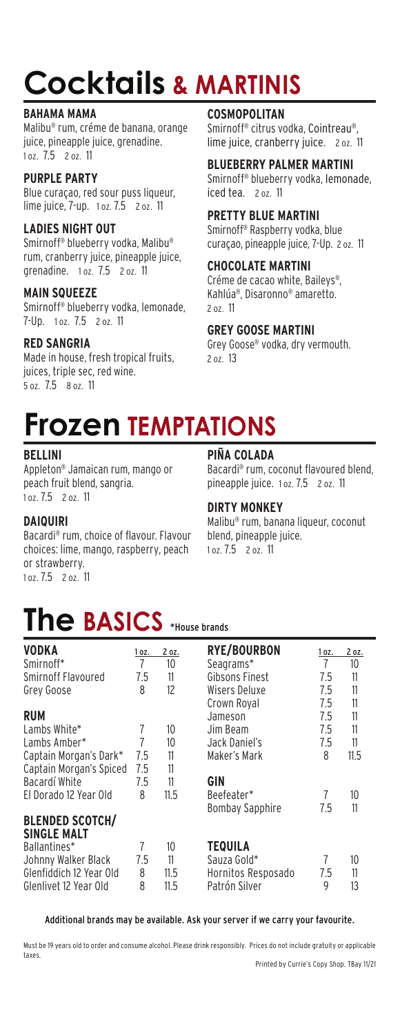# **Cocktails & MARTINIS**

### **BAHAMA MAMA**

Malibu® rum, créme de banana, orange juice, pineapple juice, grenadine. 1 oz. 7.5 2 oz. 11

### **PURPLE PARTY**

Blue curaçao, red sour puss liqueur, lime juice, 7-up. 1 oz. 7.5 2 oz. 11

### **LADIES NIGHT OUT**

Smirnoff ® blueberry vodka, Malibu® rum, cranberry juice, pineapple juice, grenadine. 1 oz. 7.5 2 oz. 11

### **MAIN SQUEEZE**

Smirnoff ® blueberry vodka, lemonade, 7-Up. 1 oz. 7.5 2 oz. 11

### **RED SANGRIA**

Made in house, fresh tropical fruits, juices, triple sec, red wine. 5 oz. 7.5 8 oz. 11

### **COSMOPOLITAN**

Smirnoff ® citrus vodka, Cointreau®, lime juice, cranberry juice. 2 oz. 11

### **BLUEBERRY PALMER MARTINI**

Smirnoff ® blueberry vodka, lemonade, iced tea. 2 oz. 11

### **PRETTY BLUE MARTINI**

Smirnoff ® Raspberry vodka, blue curaçao, pineapple juice, 7-Up. 2 oz. 11

### **CHOCOLATE MARTINI**

Créme de cacao white, Baileys®, Kahlúa®, Disaronno® amaretto. 2 oz. 11

### **GREY GOOSE MARTINI**

Grey Goose® vodka, dry vermouth. 2 oz. 13

### **Frozen TEMPTATIONS**

### **BELLINI**

Appleton® Jamaican rum, mango or peach fruit blend, sangria. 1 oz. 7.5 2 oz. 11

#### **PIÑA COLADA**

Bacardi ® rum, coconut flavoured blend, pineapple juice. 1 oz. 7.5 2 oz. 11

### **DIRTY MONKEY**

Malibu® rum, banana liqueur, coconut blend, pineapple juice. 1 oz. 7.5 2 oz. 11

### **DAIQUIRI**

Bacardi ® rum, choice of flavour. Flavour choices: lime, mango, raspberry, peach or strawberry. 1 oz. 7.5 2 oz. 11

### **The BASICS** \*House brands

| <b>VODKA</b>            | 1 oz. | 2 oz. | <b>RYE/BOURBON</b>     | 1 oz. | 2 oz. |
|-------------------------|-------|-------|------------------------|-------|-------|
| Smirnoff*               | 7     | 10    | Seagrams*              | 7     | 10    |
| Smirnoff Flavoured      | 7.5   | 11    | Gibsons Finest         | 7.5   | 11    |
| Grey Goose              | 8     | 12    | Wisers Deluxe          | 7.5   | 11    |
|                         |       |       | Crown Royal            | 7.5   | 11    |
| <b>RUM</b>              |       |       | Jameson                | 7.5   | 11    |
| Lambs White*            | 7     | 10    | Jim Beam               | 7.5   | 11    |
| Lambs Amber*            | 7     | 10    | Jack Daniel's          | 7.5   | 11    |
| Captain Morgan's Dark*  | 7.5   | 11    | Maker's Mark           | 8     | 11.5  |
| Captain Morgan's Spiced | 7.5   | 11    |                        |       |       |
| Bacardí White           | 7.5   | 11    | GIN                    |       |       |
| El Dorado 12 Year Old   | 8     | 11.5  | Beefeater*             | 7     | 10    |
|                         |       |       | <b>Bombay Sapphire</b> | 7.5   | 11    |
| <b>BLENDED SCOTCH/</b>  |       |       |                        |       |       |
| <b>SINGLE MALT</b>      |       |       |                        |       |       |
| Ballantines*            | 7     | 10    | <b>TEQUILA</b>         |       |       |
| Johnny Walker Black     | 7.5   | 11    | Sauza Gold*            | 7     | 10    |
| Glenfiddich 12 Year Old | 8     | 11.5  | Hornitos Resposado     | 7.5   | 11    |
| Glenlivet 12 Year Old   | 8     | 11.5  | Patrón Silver          | 9     | 13    |

Additional brands may be available. Ask your server if we carry your favourite.

Must be 19 years old to order and consume alcohol. Please drink responsibly. Prices do not include gratuity or applicable taxes.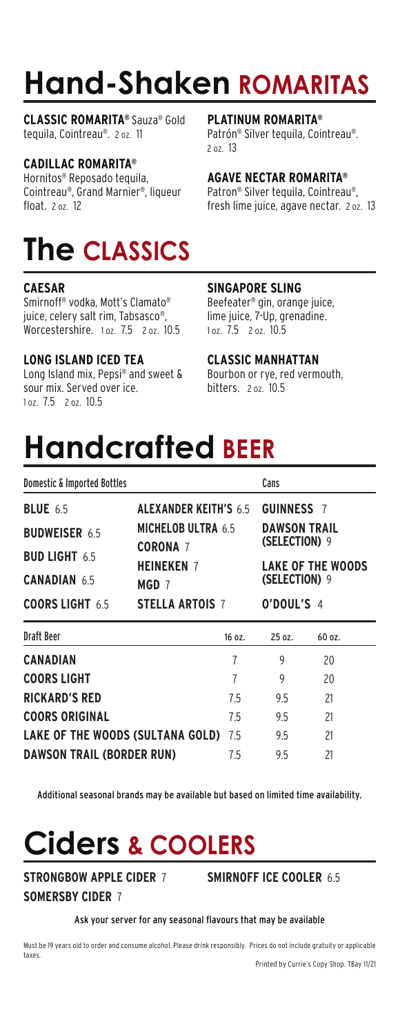# **Hand-Shaken ROMARITAS**

**CLASSIC ROMARITA®** Sauza® Gold tequila, Cointreau®. 2 oz. 11

### **CADILLAC ROMARITA®**

Hornitos® Reposado tequila, Cointreau®, Grand Marnier®, liqueur float. 2 oz. 12

## **The CLASSICS**

### **CAESAR**

Smirnoff® vodka, Mott's Clamato® juice, celery salt rim, Tabsasco®, Worcestershire. 1 oz. 7.5 2 oz. 10.5

### **LONG ISLAND ICED TEA**

Long Island mix, Pepsi® and sweet & sour mix. Served over ice. 1 oz. 7.5 2 oz. 10.5

#### **PLATINUM ROMARITA®**

Patrón® Silver tequila, Cointreau®. 2 oz. 13

### **AGAVE NECTAR ROMARITA®**

Patron® Silver tequila, Cointreau®, fresh lime juice, agave nectar. 2 oz. 13

### **SINGAPORE SLING**

Beefeater® gin, orange juice, lime juice, 7-Up, grenadine. 1 oz. 7.5 2 oz. 10.5

### **CLASSIC MANHATTAN**

Bourbon or rye, red vermouth, bitters. 2 oz. 10.5

# **Handcrafted BEER**

| <b>Domestic &amp; Imported Bottles</b> |                                                                                                            |        | Cans                                                                                                                 |               |  |
|----------------------------------------|------------------------------------------------------------------------------------------------------------|--------|----------------------------------------------------------------------------------------------------------------------|---------------|--|
| <b>BLUE</b> 6.5                        | <b>ALEXANDER KEITH'S 6.5</b><br><b>MICHELOB ULTRA 6.5</b><br><b>CORONA 7</b><br><b>HEINEKEN 7</b><br>MGD 7 |        | <b>GUINNESS 7</b><br><b>DAWSON TRAIL</b><br><b>(SELECTION) 9</b><br><b>LAKE OF THE WOODS</b><br><b>(SELECTION) 9</b> |               |  |
| <b>BUDWEISER 6.5</b>                   |                                                                                                            |        |                                                                                                                      |               |  |
| <b>BUD LIGHT 6.5</b>                   |                                                                                                            |        |                                                                                                                      |               |  |
| <b>CANADIAN 6.5</b>                    |                                                                                                            |        |                                                                                                                      |               |  |
| <b>COORS LIGHT 6.5</b>                 | <b>STELLA ARTOIS 7</b>                                                                                     |        | O'DOUL'S 4                                                                                                           |               |  |
| <b>Draft Beer</b>                      |                                                                                                            | 16 oz. | 25 oz.                                                                                                               | 60 oz.        |  |
| <b>CANADIAN</b>                        |                                                                                                            | 7      | 9                                                                                                                    | 20            |  |
| AAARA LIAUT                            |                                                                                                            |        |                                                                                                                      | $\sim$ $\sim$ |  |

| COORS LIGHT                          |    |    | 20 |
|--------------------------------------|----|----|----|
| <b>RICKARD'S RED</b>                 | 75 | 95 | 21 |
| <b>COORS ORIGINAL</b>                | 75 | 95 | 21 |
| LAKE OF THE WOODS (SULTANA GOLD) 7.5 |    | 95 | 21 |
| <b>DAWSON TRAIL (BORDER RUN)</b>     | 75 | 95 | 21 |

Additional seasonal brands may be available but based on limited time availability.

# **Ciders & COOLERS**

**STRONGBOW APPLE CIDER** 7 **SOMERSBY CIDER** 7

**SMIRNOFF ICE COOLER** 6.5

### Ask your server for any seasonal flavours that may be available

Must be 19 years old to order and consume alcohol. Please drink responsibly. Prices do not include gratuity or applicable taxes.